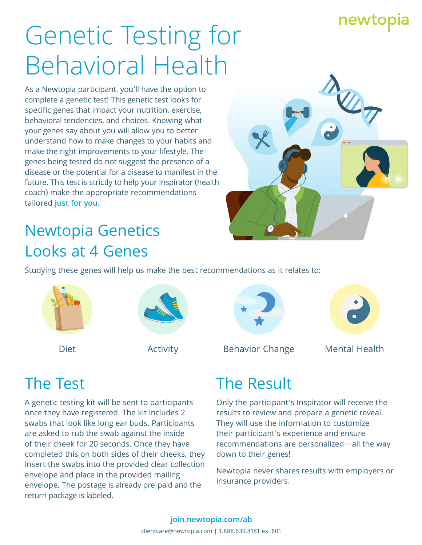## newtopia

# Genetic Testing for Behavioral Health

As a Newtopia participant, you'll have the option to complete a genetic test! This genetic test looks for specific genes that impact your nutrition, exercise, behavioral tendencies, and choices. Knowing what your genes say about you will allow you to better understand how to make changes to your habits and make the right improvements to your lifestyle. The genes being tested do not suggest the presence of a disease or the potential for a disease to manifest in the future. This test is strictly to help your Inspirator (health coach) make the appropriate recommendations tailored **just for you.**



# Newtopia Genetics Looks at 4 Genes

Studying these genes will help us make the best recommendations as it relates to:









Diet **Activity** Behavior Change Mental Health

## The Test

A genetic testing kit will be sent to participants once they have registered. The kit includes 2 swabs that look like long ear buds. Participants are asked to rub the swab against the inside of their cheek for 20 seconds. Once they have completed this on both sides of their cheeks, they insert the swabs into the provided clear collection envelope and place in the provided mailing envelope. The postage is already pre-paid and the return package is labeled.

### The Result

Only the participant's Inspirator will receive the results to review and prepare a genetic reveal. They will use the information to customize their participant's experience and ensure recommendations are personalized—all the way down to their genes!

Newtopia never shares results with employers or insurance providers.